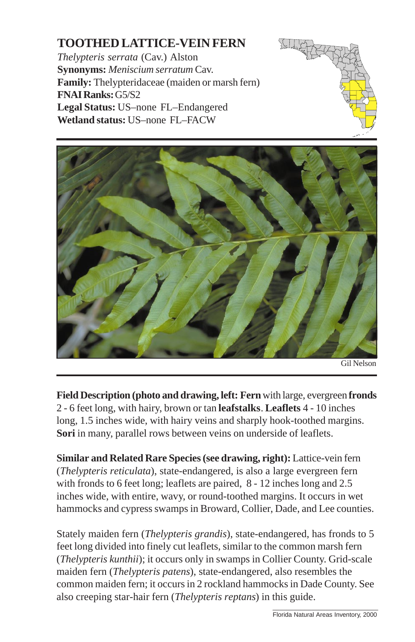## **TOOTHED LATTICE-VEIN FERN**

*Thelypteris serrata* (Cav.) Alston **Synonyms:** *Meniscium serratum* Cav. **Family:** Thelypteridaceae (maiden or marsh fern) **FNAI Ranks:** G5/S2 **Legal Status:** US–none FL–Endangered **Wetland status:** US–none FL–FACW





**Field Description (photo and drawing, left: Fern** with large, evergreen **fronds** 2 - 6 feet long, with hairy, brown or tan **leafstalks**. **Leaflets** 4 - 10 inches long, 1.5 inches wide, with hairy veins and sharply [hook-toothed margins.](http://www.fnai.org) **Sori** in many, parallel rows between veins on underside of leaflets.

**Similar and Related Rare Species (see drawing, right):** Lattice-vein fern (*Thelypteris reticulata*), state-endangered, is also a large evergreen fern with fronds to 6 feet long; leaflets are paired, 8 - 12 inches long and 2.5 inches wide, with entire, wavy, or round-toothed margins. It occurs in wet hammocks and cypress swamps in Broward, Collier, Dade, and Lee counties.

Stately maiden fern (*Thelypteris grandis*), state-endangered, has fronds to 5 feet long divided into finely cut leaflets, similar to the common marsh fern (*Thelypteris kunthii*); it occurs only in swamps in Collier County. Grid-scale maiden fern (*Thelypteris patens*), state-endangered, also resembles the common maiden fern; it occurs in 2 rockland hammocks in Dade County. See also creeping star-hair fern (*Thelypteris reptans*) in this guide.

\_\_\_\_\_\_\_\_\_\_\_\_\_\_\_\_\_\_\_\_\_\_\_\_\_\_\_\_\_\_ Florida Natural Areas Inventory, 2000